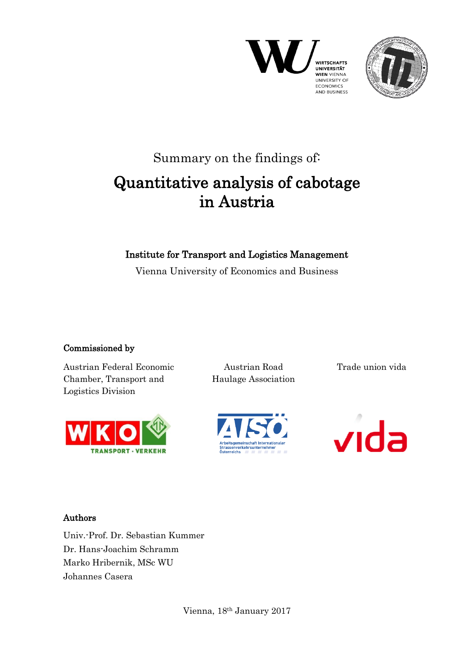



## Summary on the findings of: Quantitative analysis of cabotage in Austria

## Institute for Transport and Logistics Management

Vienna University of Economics and Business

## Commissioned by

Austrian Federal Economic Chamber, Transport and Logistics Division



Austrian Road Haulage Association Trade union vida





## Authors

Univ.-Prof. Dr. Sebastian Kummer Dr. Hans-Joachim Schramm Marko Hribernik, MSc WU Johannes Casera

Vienna, 18th January 2017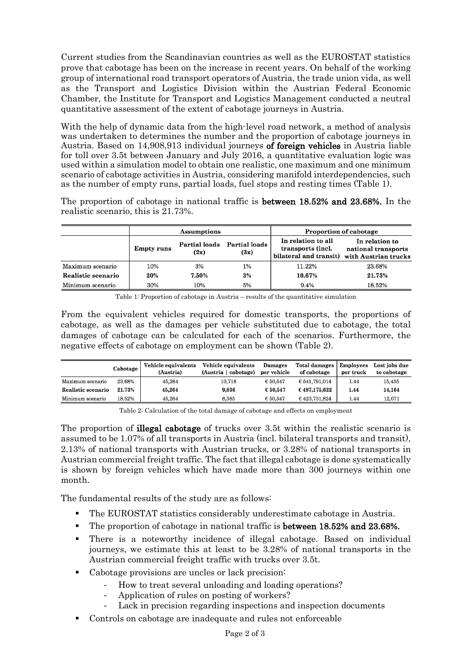Current studies from the Scandinavian countries as well as the EUROSTAT statistics prove that cabotage has been on the increase in recent years. On behalf of the working group of international road transport operators of Austria, the trade union vida, as well as the Transport and Logistics Division within the Austrian Federal Economic Chamber, the Institute for Transport and Logistics Management conducted a neutral quantitative assessment of the extent of cabotage journeys in Austria.

With the help of dynamic data from the high-level road network, a method of analysis was undertaken to determines the number and the proportion of cabotage journeys in Austria. Based on 14,908,913 individual journeys of foreign vehicles in Austria liable for toll over 3.5t between January and July 2016, a quantitative evaluation logic was used within a simulation model to obtain one realistic, one maximum and one minimum scenario of cabotage activities in Austria, considering manifold interdependencies, such as the number of empty runs, partial loads, fuel stops and resting times (Table 1).

The proportion of cabotage in national traffic is between 18.52% and 23.68%. In the realistic scenario, this is 21.73%.

|                    |     | <b>Assumptions</b>    |                              | <b>Proportion of cabotage</b>                                     |                                                               |  |
|--------------------|-----|-----------------------|------------------------------|-------------------------------------------------------------------|---------------------------------------------------------------|--|
| <b>Empty runs</b>  |     | Partial loads<br>(2x) | <b>Partial loads</b><br>(3x) | In relation to all<br>transports (incl.<br>bilateral and transit) | In relation to<br>national transports<br>with Austrian trucks |  |
| Maximum scenario   | 10% | 3%                    | 1%                           | 11.22%                                                            | 23.68%                                                        |  |
| Realistic scenario | 20% | 7.50%                 | 3%                           | 10.67%                                                            | 21.73%                                                        |  |
| Minimum scenario   | 30% | 10%                   | 5%                           | 9.4%                                                              | 18.52%                                                        |  |

Table 1: Proportion of cabotage in Austria – results of the quantitative simulation

From the equivalent vehicles required for domestic transports, the proportions of cabotage, as well as the damages per vehicle substituted due to cabotage, the total damages of cabotage can be calculated for each of the scenarios. Furthermore, the negative effects of cabotage on employment can be shown (Table 2).

|                    | Cabotage | Vehicle equivalents<br>(Austria) | Vehicle equivalents<br>(Austria   cabotage) | <b>Damages</b><br>per vehicle | Total damages   Employees<br>of cabotage | per truck | Lost jobs due<br>to cabotage |
|--------------------|----------|----------------------------------|---------------------------------------------|-------------------------------|------------------------------------------|-----------|------------------------------|
| Maximum scenario   | 23.68%   | 45.264                           | 10.718                                      | € 50.547                      | € 541,791,014                            | 1.44      | 15,435                       |
| Realistic scenario | 21.73%   | 45.264                           | 9,836                                       | € 50.547                      | € 497,175,622                            | 1.44      | 14,164                       |
| Minimum scenario   | 18.52%   | 45.264                           | 8.383                                       | € 50.547                      | € 423,731,824                            | 1.44      | 12.071                       |

Table 2: Calculation of the total damage of cabotage and effects on employment

The proportion of illegal cabotage of trucks over 3.5t within the realistic scenario is assumed to be 1.07% of all transports in Austria (incl. bilateral transports and transit), 2.13% of national transports with Austrian trucks, or 3.28% of national transports in Austrian commercial freight traffic. The fact that illegal cabotage is done systematically is shown by foreign vehicles which have made more than 300 journeys within one month.

The fundamental results of the study are as follows:

- The EUROSTAT statistics considerably underestimate cabotage in Austria.
- The proportion of cabotage in national traffic is between 18.52% and 23.68%.
- There is a noteworthy incidence of illegal cabotage. Based on individual journeys, we estimate this at least to be 3.28% of national transports in the Austrian commercial freight traffic with trucks over 3.5t.
- Cabotage provisions are uncles or lack precision:
	- How to treat several unloading and loading operations?
	- Application of rules on posting of workers?
	- Lack in precision regarding inspections and inspection documents
- Controls on cabotage are inadequate and rules not enforceable